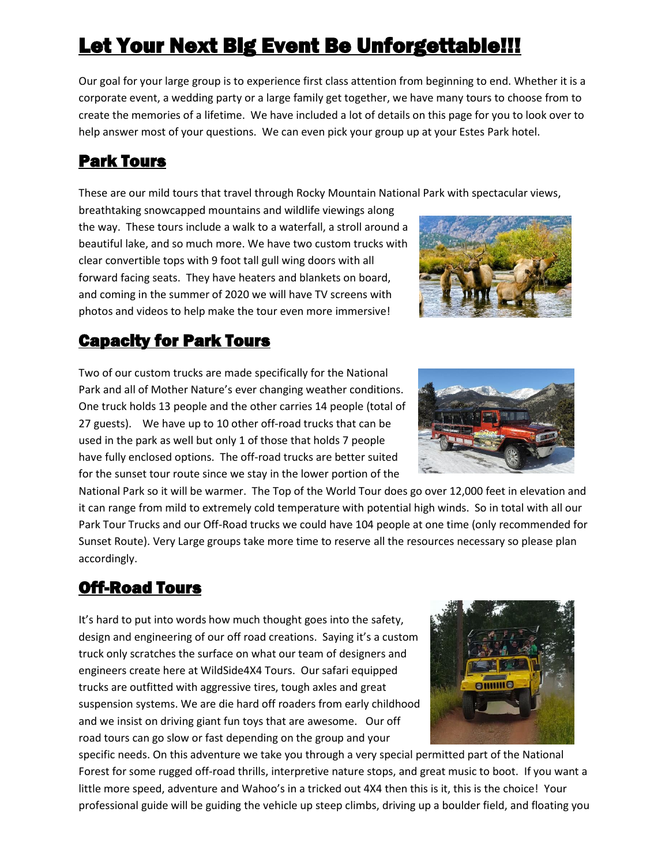# Let Your Next Big Event Be Unforgettable!!!

Our goal for your large group is to experience first class attention from beginning to end. Whether it is a corporate event, a wedding party or a large family get together, we have many tours to choose from to create the memories of a lifetime. We have included a lot of details on this page for you to look over to help answer most of your questions. We can even pick your group up at your Estes Park hotel.

# Park Tours

These are our mild tours that travel through Rocky Mountain National Park with spectacular views,

breathtaking snowcapped mountains and wildlife viewings along the way. These tours include a walk to a waterfall, a stroll around a beautiful lake, and so much more. We have two custom trucks with clear convertible tops with 9 foot tall gull wing doors with all forward facing seats. They have heaters and blankets on board, and coming in the summer of 2020 we will have TV screens with photos and videos to help make the tour even more immersive!

## Capacity for Park Tours

Two of our custom trucks are made specifically for the National Park and all of Mother Nature's ever changing weather conditions. One truck holds 13 people and the other carries 14 people (total of 27 guests). We have up to 10 other off-road trucks that can be used in the park as well but only 1 of those that holds 7 people have fully enclosed options. The off-road trucks are better suited for the sunset tour route since we stay in the lower portion of the

National Park so it will be warmer. The Top of the World Tour does go over 12,000 feet in elevation and it can range from mild to extremely cold temperature with potential high winds. So in total with all our Park Tour Trucks and our Off-Road trucks we could have 104 people at one time (only recommended for Sunset Route). Very Large groups take more time to reserve all the resources necessary so please plan accordingly.

# Off-Road Tours

It's hard to put into words how much thought goes into the safety, design and engineering of our off road creations. Saying it's a custom truck only scratches the surface on what our team of designers and engineers create here at WildSide4X4 Tours. Our safari equipped trucks are outfitted with aggressive tires, tough axles and great suspension systems. We are die hard off roaders from early childhood and we insist on driving giant fun toys that are awesome. Our off road tours can go slow or fast depending on the group and your

specific needs. On this adventure we take you through a very special permitted part of the National Forest for some rugged off-road thrills, interpretive nature stops, and great music to boot. If you want a little more speed, adventure and Wahoo's in a tricked out 4X4 then this is it, this is the choice! Your professional guide will be guiding the vehicle up steep climbs, driving up a boulder field, and floating you





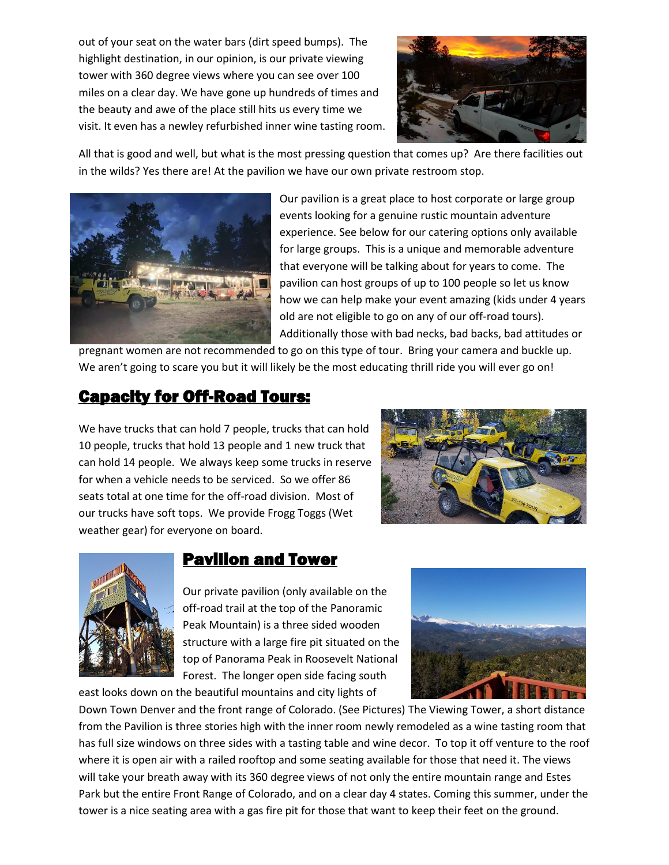out of your seat on the water bars (dirt speed bumps). The highlight destination, in our opinion, is our private viewing tower with 360 degree views where you can see over 100 miles on a clear day. We have gone up hundreds of times and the beauty and awe of the place still hits us every time we visit. It even has a newley refurbished inner wine tasting room.



All that is good and well, but what is the most pressing question that comes up? Are there facilities out in the wilds? Yes there are! At the pavilion we have our own private restroom stop.



Our pavilion is a great place to host corporate or large group events looking for a genuine rustic mountain adventure experience. See below for our catering options only available for large groups. This is a unique and memorable adventure that everyone will be talking about for years to come. The pavilion can host groups of up to 100 people so let us know how we can help make your event amazing (kids under 4 years old are not eligible to go on any of our off-road tours). Additionally those with bad necks, bad backs, bad attitudes or

pregnant women are not recommended to go on this type of tour. Bring your camera and buckle up. We aren't going to scare you but it will likely be the most educating thrill ride you will ever go on!

## Capacity for Off-Road Tours:

We have trucks that can hold 7 people, trucks that can hold 10 people, trucks that hold 13 people and 1 new truck that can hold 14 people. We always keep some trucks in reserve for when a vehicle needs to be serviced. So we offer 86 seats total at one time for the off-road division. Most of our trucks have soft tops. We provide Frogg Toggs (Wet weather gear) for everyone on board.





#### **Pavilion and Tower**

Our private pavilion (only available on the off-road trail at the top of the Panoramic Peak Mountain) is a three sided wooden structure with a large fire pit situated on the top of Panorama Peak in Roosevelt National Forest. The longer open side facing south

east looks down on the beautiful mountains and city lights of



Down Town Denver and the front range of Colorado. (See Pictures) The Viewing Tower, a short distance from the Pavilion is three stories high with the inner room newly remodeled as a wine tasting room that has full size windows on three sides with a tasting table and wine decor. To top it off venture to the roof where it is open air with a railed rooftop and some seating available for those that need it. The views will take your breath away with its 360 degree views of not only the entire mountain range and Estes Park but the entire Front Range of Colorado, and on a clear day 4 states. Coming this summer, under the tower is a nice seating area with a gas fire pit for those that want to keep their feet on the ground.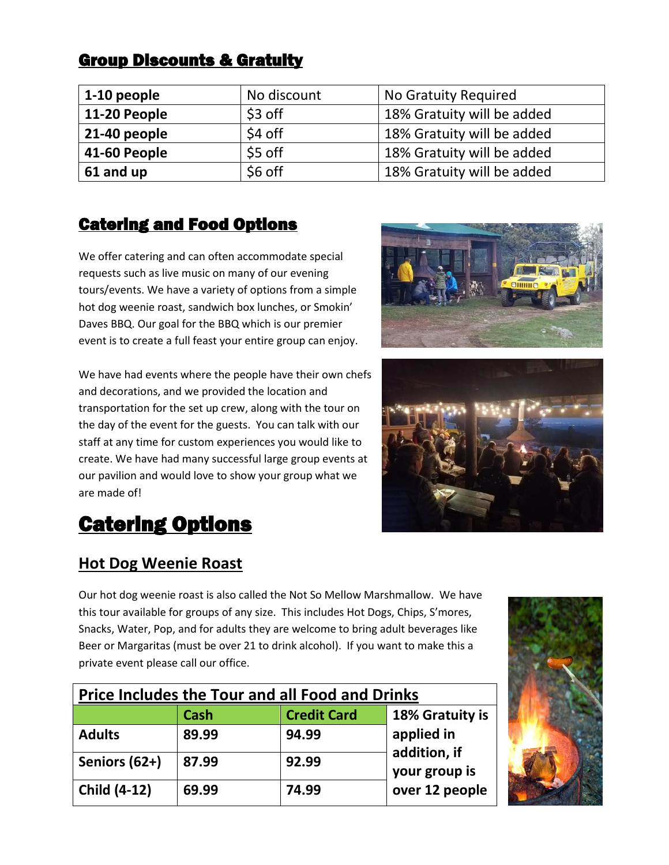## **Group Discounts & Gratuity**

| 1-10 people  | No discount | No Gratuity Required       |
|--------------|-------------|----------------------------|
| 11-20 People | \$3 off     | 18% Gratuity will be added |
| 21-40 people | \$4 off     | 18% Gratuity will be added |
| 41-60 People | \$5 off     | 18% Gratuity will be added |
| 61 and up    | \$6 off     | 18% Gratuity will be added |

### Catering and Food Options

We offer catering and can often accommodate special requests such as live music on many of our evening tours/events. We have a variety of options from a simple hot dog weenie roast, sandwich box lunches, or Smokin' Daves BBQ. Our goal for the BBQ which is our premier event is to create a full feast your entire group can enjoy.

We have had events where the people have their own chefs and decorations, and we provided the location and transportation for the set up crew, along with the tour on the day of the event for the guests. You can talk with our staff at any time for custom experiences you would like to create. We have had many successful large group events at our pavilion and would love to show your group what we are made of!





# **Catering Options**

#### **Hot Dog Weenie Roast**

Our hot dog weenie roast is also called the Not So Mellow Marshmallow. We have this tour available for groups of any size. This includes Hot Dogs, Chips, S'mores, Snacks, Water, Pop, and for adults they are welcome to bring adult beverages like Beer or Margaritas (must be over 21 to drink alcohol). If you want to make this a private event please call our office.

| <b>Price Includes the Tour and all Food and Drinks</b> |             |                    |                            |  |  |
|--------------------------------------------------------|-------------|--------------------|----------------------------|--|--|
|                                                        | <b>Cash</b> | <b>Credit Card</b> | 18% Gratuity is            |  |  |
| <b>Adults</b>                                          | 89.99       | 94.99              | applied in<br>addition, if |  |  |
| Seniors (62+)                                          | 87.99       | 92.99              | your group is              |  |  |
| <b>Child (4-12)</b>                                    | 69.99       | 74.99              | over 12 people             |  |  |